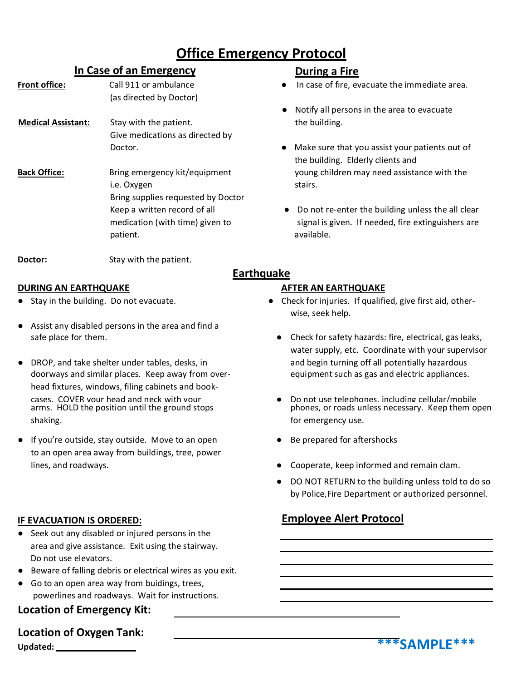# **Office Emergency Protocol**

**Earthquake**

## **In Case of an Emergency During a Fire**

- (as directed by Doctor)
- **Medical Assistant:** Stay with the patient. The building. Give medications as directed by
- **Back Office:** Bring emergency kit/equipment young children may need assistance with the i.e. Oxygen stairs. Bring supplies requested by Doctor patient. **and a set of the set of the set of the set of the set of the set of the set of the set of the set of the set of the set of the set of the set of the set of the set of the set of the set of the set of the set of t**

- **Front office:** Call 911 or ambulance **Ally and Case of fire, evacuate the immediate area.** 
	- Notify all persons in the area to evacuate
	- Doctor. **All a Communist State State State State State State State State State State State State State State State State State State State State State State State State State State State State State State State State Stat** the building. Elderly clients and
	- Keep a written record of all  $\bullet$  Do not re-enter the building unless the all clear medication (with time) given to signal is given. If needed, fire extinguishers are

**Doctor:** Stay with the patient.

### **DURING AN EARTHQUAKE AFTER AN EARTHQUAKE**

- 
- Assist any disabled persons in the area and find a safe place for them.
- DROP, and take shelter under tables, desks, in doorways and similar places. Keep away from overhead fixtures, windows, filing cabinets and bookcases. COVER your head and neck with your arms. HOLD the position until the ground stops shaking.
- If you're outside, stay outside. Move to an open to an open area away from buildings, tree, power lines, and roadways.

## **IF EVACUATION IS ORDERED:**

- Seek out any disabled or injured persons in the area and give assistance. Exit using the stairway. Do not use elevators.
- Beware of falling debris or electrical wires as you exit.
- Go to an open area way from buidings, trees, powerlines and roadways. Wait for instructions.

## **Location of Emergency Kit:**

**Updated: Location of Oxygen Tank:**

- Stay in the building. Do not evacuate. **•••** Check for injuries. If qualified, give first aid, otherwise, seek help.
	- Check for safety hazards: fire, electrical, gas leaks, water supply, etc. Coordinate with your supervisor and begin turning off all potentially hazardous equipment such as gas and electric appliances.
	- Do not use telephones, including cellular/mobile phones, or roads unless necessary. Keep them open for emergency use.
	- Be prepared for aftershocks
	- Cooperate, keep informed and remain clam.
	- DO NOT RETURN to the building unless told to do so by Police,Fire Department or authorized personnel.

## **Employee Alert Protocol**